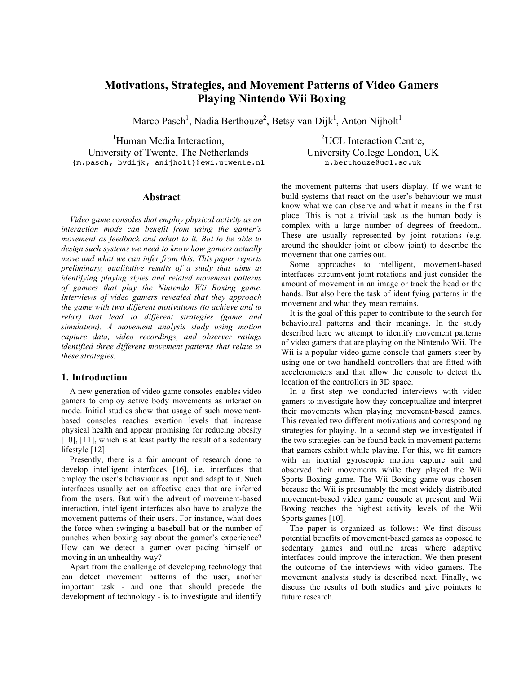# **Motivations, Strategies, and Movement Patterns of Video Gamers Playing Nintendo Wii Boxing**

Marco Pasch<sup>1</sup>, Nadia Berthouze<sup>2</sup>, Betsy van Dijk<sup>1</sup>, Anton Nijholt<sup>1</sup>

<sup>1</sup>Human Media Interaction, University of Twente, The Netherlands {m.pasch, bvdijk, anijholt}@ewi.utwente.nl

#### **Abstract**

*Video game consoles that employ physical activity as an interaction mode can benefit from using the gamer's movement as feedback and adapt to it. But to be able to design such systems we need to know how gamers actually move and what we can infer from this. This paper reports preliminary, qualitative results of a study that aims at identifying playing styles and related movement patterns of gamers that play the Nintendo Wii Boxing game. Interviews of video gamers revealed that they approach the game with two different motivations (to achieve and to relax) that lead to different strategies (game and simulation). A movement analysis study using motion capture data, video recordings, and observer ratings identified three different movement patterns that relate to these strategies.*

#### **1. Introduction**

A new generation of video game consoles enables video gamers to employ active body movements as interaction mode. Initial studies show that usage of such movementbased consoles reaches exertion levels that increase physical health and appear promising for reducing obesity [10], [11], which is at least partly the result of a sedentary lifestyle [12].

Presently, there is a fair amount of research done to develop intelligent interfaces [16], i.e. interfaces that employ the user's behaviour as input and adapt to it. Such interfaces usually act on affective cues that are inferred from the users. But with the advent of movement-based interaction, intelligent interfaces also have to analyze the movement patterns of their users. For instance, what does the force when swinging a baseball bat or the number of punches when boxing say about the gamer's experience? How can we detect a gamer over pacing himself or moving in an unhealthy way?

Apart from the challenge of developing technology that can detect movement patterns of the user, another important task - and one that should precede the development of technology - is to investigate and identify

<sup>2</sup>UCL Interaction Centre, University College London, UK n.berthouze@ucl.ac.uk

the movement patterns that users display. If we want to build systems that react on the user's behaviour we must know what we can observe and what it means in the first place. This is not a trivial task as the human body is complex with a large number of degrees of freedom,. These are usually represented by joint rotations (e.g. around the shoulder joint or elbow joint) to describe the movement that one carries out.

Some approaches to intelligent, movement-based interfaces circumvent joint rotations and just consider the amount of movement in an image or track the head or the hands. But also here the task of identifying patterns in the movement and what they mean remains.

It is the goal of this paper to contribute to the search for behavioural patterns and their meanings. In the study described here we attempt to identify movement patterns of video gamers that are playing on the Nintendo Wii. The Wii is a popular video game console that gamers steer by using one or two handheld controllers that are fitted with accelerometers and that allow the console to detect the location of the controllers in 3D space.

In a first step we conducted interviews with video gamers to investigate how they conceptualize and interpret their movements when playing movement-based games. This revealed two different motivations and corresponding strategies for playing. In a second step we investigated if the two strategies can be found back in movement patterns that gamers exhibit while playing. For this, we fit gamers with an inertial gyroscopic motion capture suit and observed their movements while they played the Wii Sports Boxing game. The Wii Boxing game was chosen because the Wii is presumably the most widely distributed movement-based video game console at present and Wii Boxing reaches the highest activity levels of the Wii Sports games [10].

The paper is organized as follows: We first discuss potential benefits of movement-based games as opposed to sedentary games and outline areas where adaptive interfaces could improve the interaction. We then present the outcome of the interviews with video gamers. The movement analysis study is described next. Finally, we discuss the results of both studies and give pointers to future research.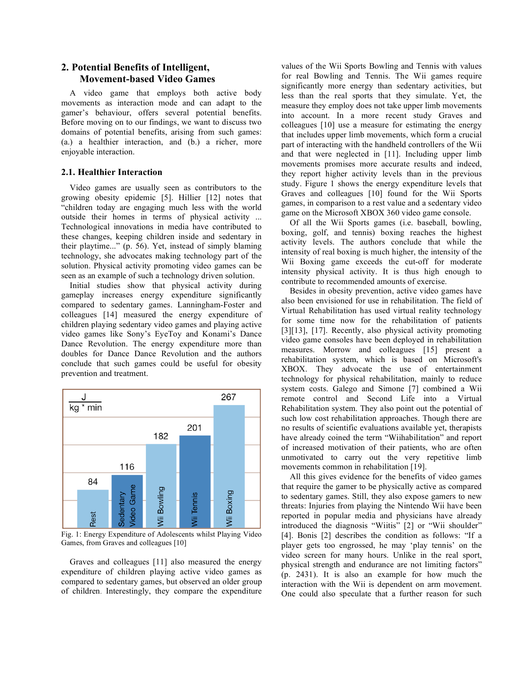# **2. Potential Benefits of Intelligent, Movement-based Video Games**

A video game that employs both active body movements as interaction mode and can adapt to the gamer's behaviour, offers several potential benefits. Before moving on to our findings, we want to discuss two domains of potential benefits, arising from such games: (a.) a healthier interaction, and (b.) a richer, more enjoyable interaction.

### **2.1. Healthier Interaction**

Video games are usually seen as contributors to the growing obesity epidemic [5]. Hillier [12] notes that "children today are engaging much less with the world outside their homes in terms of physical activity ... Technological innovations in media have contributed to these changes, keeping children inside and sedentary in their playtime..." (p. 56). Yet, instead of simply blaming technology, she advocates making technology part of the solution. Physical activity promoting video games can be seen as an example of such a technology driven solution.

Initial studies show that physical activity during gameplay increases energy expenditure significantly compared to sedentary games. Lanningham-Foster and colleagues [14] measured the energy expenditure of children playing sedentary video games and playing active video games like Sony's EyeToy and Konami's Dance Dance Revolution. The energy expenditure more than doubles for Dance Dance Revolution and the authors conclude that such games could be useful for obesity prevention and treatment.



Fig. 1: Energy Expenditure of Adolescents whilst Playing Video Games, from Graves and colleagues [10]

Graves and colleagues [11] also measured the energy expenditure of children playing active video games as compared to sedentary games, but observed an older group of children. Interestingly, they compare the expenditure values of the Wii Sports Bowling and Tennis with values for real Bowling and Tennis. The Wii games require significantly more energy than sedentary activities, but less than the real sports that they simulate. Yet, the measure they employ does not take upper limb movements into account. In a more recent study Graves and colleagues [10] use a measure for estimating the energy that includes upper limb movements, which form a crucial part of interacting with the handheld controllers of the Wii and that were neglected in [11]. Including upper limb movements promises more accurate results and indeed, they report higher activity levels than in the previous study. Figure 1 shows the energy expenditure levels that Graves and colleagues [10] found for the Wii Sports games, in comparison to a rest value and a sedentary video game on the Microsoft XBOX 360 video game console.

Of all the Wii Sports games (i.e. baseball, bowling, boxing, golf, and tennis) boxing reaches the highest activity levels. The authors conclude that while the intensity of real boxing is much higher, the intensity of the Wii Boxing game exceeds the cut-off for moderate intensity physical activity. It is thus high enough to contribute to recommended amounts of exercise.

Besides in obesity prevention, active video games have also been envisioned for use in rehabilitation. The field of Virtual Rehabilitation has used virtual reality technology for some time now for the rehabilitation of patients [3][13], [17]. Recently, also physical activity promoting video game consoles have been deployed in rehabilitation measures. Morrow and colleagues [15] present a rehabilitation system, which is based on Microsoft's XBOX. They advocate the use of entertainment technology for physical rehabilitation, mainly to reduce system costs. Galego and Simone [7] combined a Wii remote control and Second Life into a Virtual Rehabilitation system. They also point out the potential of such low cost rehabilitation approaches. Though there are no results of scientific evaluations available yet, therapists have already coined the term "Wiihabilitation" and report of increased motivation of their patients, who are often unmotivated to carry out the very repetitive limb movements common in rehabilitation [19].

All this gives evidence for the benefits of video games that require the gamer to be physically active as compared to sedentary games. Still, they also expose gamers to new threats: Injuries from playing the Nintendo Wii have been reported in popular media and physicians have already introduced the diagnosis "Wiitis" [2] or "Wii shoulder" [4]. Bonis [2] describes the condition as follows: "If a player gets too engrossed, he may 'play tennis' on the video screen for many hours. Unlike in the real sport, physical strength and endurance are not limiting factors" (p. 2431). It is also an example for how much the interaction with the Wii is dependent on arm movement. One could also speculate that a further reason for such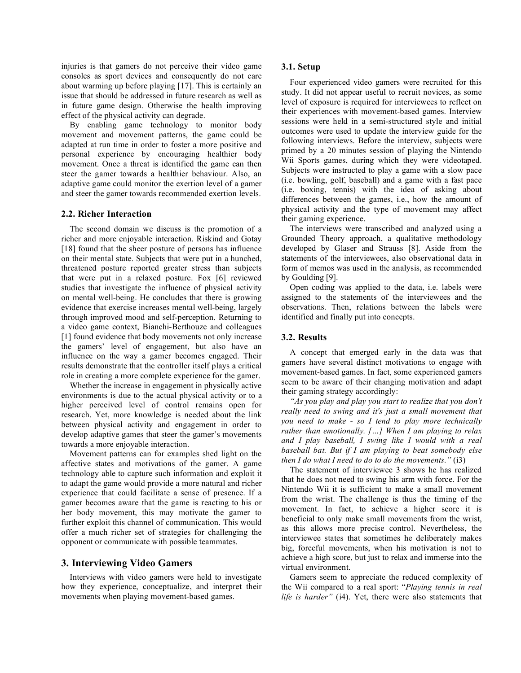injuries is that gamers do not perceive their video game consoles as sport devices and consequently do not care about warming up before playing [17]. This is certainly an issue that should be addressed in future research as well as in future game design. Otherwise the health improving effect of the physical activity can degrade.

By enabling game technology to monitor body movement and movement patterns, the game could be adapted at run time in order to foster a more positive and personal experience by encouraging healthier body movement. Once a threat is identified the game can then steer the gamer towards a healthier behaviour. Also, an adaptive game could monitor the exertion level of a gamer and steer the gamer towards recommended exertion levels.

#### **2.2. Richer Interaction**

The second domain we discuss is the promotion of a richer and more enjoyable interaction. Riskind and Gotay [18] found that the sheer posture of persons has influence on their mental state. Subjects that were put in a hunched, threatened posture reported greater stress than subjects that were put in a relaxed posture. Fox [6] reviewed studies that investigate the influence of physical activity on mental well-being. He concludes that there is growing evidence that exercise increases mental well-being, largely through improved mood and self-perception. Returning to a video game context, Bianchi-Berthouze and colleagues [1] found evidence that body movements not only increase the gamers' level of engagement, but also have an influence on the way a gamer becomes engaged. Their results demonstrate that the controller itself plays a critical role in creating a more complete experience for the gamer.

Whether the increase in engagement in physically active environments is due to the actual physical activity or to a higher perceived level of control remains open for research. Yet, more knowledge is needed about the link between physical activity and engagement in order to develop adaptive games that steer the gamer's movements towards a more enjoyable interaction.

Movement patterns can for examples shed light on the affective states and motivations of the gamer. A game technology able to capture such information and exploit it to adapt the game would provide a more natural and richer experience that could facilitate a sense of presence. If a gamer becomes aware that the game is reacting to his or her body movement, this may motivate the gamer to further exploit this channel of communication. This would offer a much richer set of strategies for challenging the opponent or communicate with possible teammates.

#### **3. Interviewing Video Gamers**

Interviews with video gamers were held to investigate how they experience, conceptualize, and interpret their movements when playing movement-based games.

#### **3.1. Setup**

Four experienced video gamers were recruited for this study. It did not appear useful to recruit novices, as some level of exposure is required for interviewees to reflect on their experiences with movement-based games. Interview sessions were held in a semi-structured style and initial outcomes were used to update the interview guide for the following interviews. Before the interview, subjects were primed by a 20 minutes session of playing the Nintendo Wii Sports games, during which they were videotaped. Subjects were instructed to play a game with a slow pace (i.e. bowling, golf, baseball) and a game with a fast pace (i.e. boxing, tennis) with the idea of asking about differences between the games, i.e., how the amount of physical activity and the type of movement may affect their gaming experience.

The interviews were transcribed and analyzed using a Grounded Theory approach, a qualitative methodology developed by Glaser and Strauss [8]. Aside from the statements of the interviewees, also observational data in form of memos was used in the analysis, as recommended by Goulding [9].

Open coding was applied to the data, i.e. labels were assigned to the statements of the interviewees and the observations. Then, relations between the labels were identified and finally put into concepts.

#### **3.2. Results**

A concept that emerged early in the data was that gamers have several distinct motivations to engage with movement-based games. In fact, some experienced gamers seem to be aware of their changing motivation and adapt their gaming strategy accordingly:

*"As you play and play you start to realize that you don't really need to swing and it's just a small movement that you need to make - so I tend to play more technically rather than emotionally. […] When I am playing to relax and I play baseball, I swing like I would with a real baseball bat. But if I am playing to beat somebody else then I do what I need to do to do the movements."* (i3)

The statement of interviewee 3 shows he has realized that he does not need to swing his arm with force. For the Nintendo Wii it is sufficient to make a small movement from the wrist. The challenge is thus the timing of the movement. In fact, to achieve a higher score it is beneficial to only make small movements from the wrist, as this allows more precise control. Nevertheless, the interviewee states that sometimes he deliberately makes big, forceful movements, when his motivation is not to achieve a high score, but just to relax and immerse into the virtual environment.

Gamers seem to appreciate the reduced complexity of the Wii compared to a real sport: "*Playing tennis in real life is harder"* (i4). Yet, there were also statements that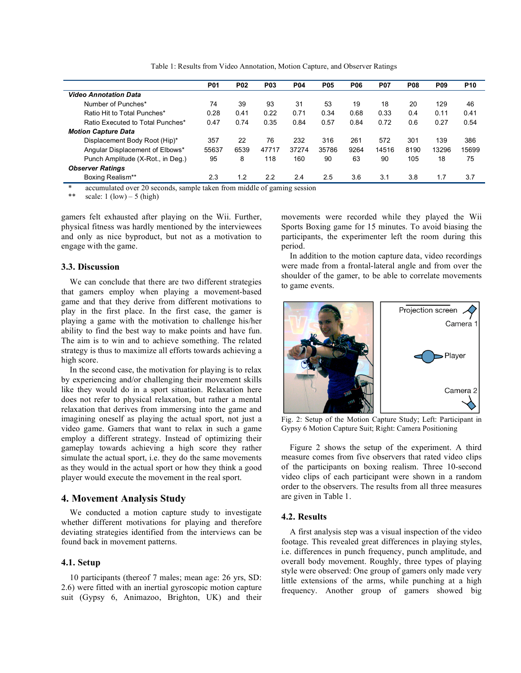Table 1: Results from Video Annotation, Motion Capture, and Observer Ratings

|                                   | <b>P01</b> | <b>P02</b> | <b>P03</b> | <b>P04</b> | <b>P05</b> | <b>P06</b> | <b>P07</b> | <b>P08</b> | <b>P09</b> | P <sub>10</sub> |
|-----------------------------------|------------|------------|------------|------------|------------|------------|------------|------------|------------|-----------------|
| <b>Video Annotation Data</b>      |            |            |            |            |            |            |            |            |            |                 |
| Number of Punches*                | 74         | 39         | 93         | 31         | 53         | 19         | 18         | 20         | 129        | 46              |
| Ratio Hit to Total Punches*       | 0.28       | 0.41       | 0.22       | 0.71       | 0.34       | 0.68       | 0.33       | 0.4        | 0.11       | 0.41            |
| Ratio Executed to Total Punches*  | 0.47       | 0.74       | 0.35       | 0.84       | 0.57       | 0.84       | 0.72       | 0.6        | 0.27       | 0.54            |
| <b>Motion Capture Data</b>        |            |            |            |            |            |            |            |            |            |                 |
| Displacement Body Root (Hip)*     | 357        | 22         | 76         | 232        | 316        | 261        | 572        | 301        | 139        | 386             |
| Angular Displacement of Elbows*   | 55637      | 6539       | 47717      | 37274      | 35786      | 9264       | 14516      | 8190       | 13296      | 15699           |
| Punch Amplitude (X-Rot., in Deg.) | 95         | 8          | 118        | 160        | 90         | 63         | 90         | 105        | 18         | 75              |
| <b>Observer Ratings</b>           |            |            |            |            |            |            |            |            |            |                 |
| Boxing Realism**                  | 2.3        | 1.2        | 2.2        | 2.4        | 2.5        | 3.6        | 3.1        | 3.8        | 1.7        | 3.7             |

accumulated over 20 seconds, sample taken from middle of gaming session

\*\* scale:  $1 (low) - 5 (high)$ 

gamers felt exhausted after playing on the Wii. Further, physical fitness was hardly mentioned by the interviewees and only as nice byproduct, but not as a motivation to engage with the game.

#### **3.3. Discussion**

We can conclude that there are two different strategies that gamers employ when playing a movement-based game and that they derive from different motivations to play in the first place. In the first case, the gamer is playing a game with the motivation to challenge his/her ability to find the best way to make points and have fun. The aim is to win and to achieve something. The related strategy is thus to maximize all efforts towards achieving a high score.

In the second case, the motivation for playing is to relax by experiencing and/or challenging their movement skills like they would do in a sport situation. Relaxation here does not refer to physical relaxation, but rather a mental relaxation that derives from immersing into the game and imagining oneself as playing the actual sport, not just a video game. Gamers that want to relax in such a game employ a different strategy. Instead of optimizing their gameplay towards achieving a high score they rather simulate the actual sport, i.e. they do the same movements as they would in the actual sport or how they think a good player would execute the movement in the real sport.

#### **4. Movement Analysis Study**

We conducted a motion capture study to investigate whether different motivations for playing and therefore deviating strategies identified from the interviews can be found back in movement patterns.

#### **4.1. Setup**

10 participants (thereof 7 males; mean age: 26 yrs, SD: 2.6) were fitted with an inertial gyroscopic motion capture suit (Gypsy 6, Animazoo, Brighton, UK) and their movements were recorded while they played the Wii Sports Boxing game for 15 minutes. To avoid biasing the participants, the experimenter left the room during this period.

In addition to the motion capture data, video recordings were made from a frontal-lateral angle and from over the shoulder of the gamer, to be able to correlate movements to game events.



Fig. 2: Setup of the Motion Capture Study; Left: Participant in Gypsy 6 Motion Capture Suit; Right: Camera Positioning

Figure 2 shows the setup of the experiment. A third measure comes from five observers that rated video clips of the participants on boxing realism. Three 10-second video clips of each participant were shown in a random order to the observers. The results from all three measures are given in Table 1.

# **4.2. Results**

A first analysis step was a visual inspection of the video footage. This revealed great differences in playing styles, i.e. differences in punch frequency, punch amplitude, and overall body movement. Roughly, three types of playing style were observed: One group of gamers only made very little extensions of the arms, while punching at a high frequency. Another group of gamers showed big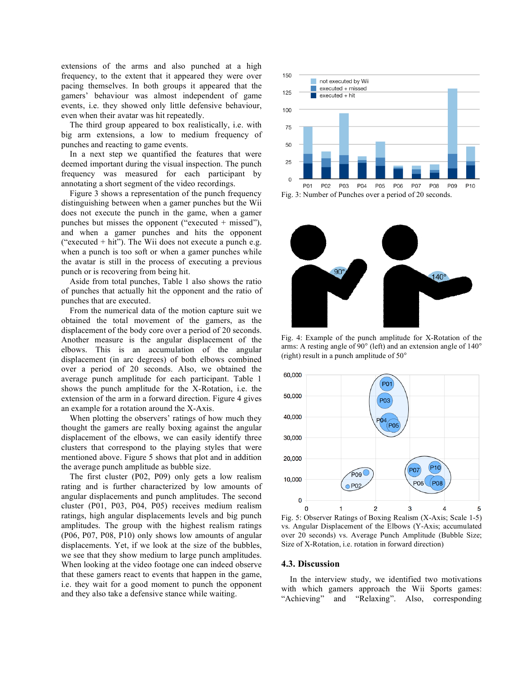extensions of the arms and also punched at a high frequency, to the extent that it appeared they were over pacing themselves. In both groups it appeared that the gamers' behaviour was almost independent of game events, i.e. they showed only little defensive behaviour, even when their avatar was hit repeatedly.

The third group appeared to box realistically, i.e. with big arm extensions, a low to medium frequency of punches and reacting to game events.

In a next step we quantified the features that were deemed important during the visual inspection. The punch frequency was measured for each participant by annotating a short segment of the video recordings.

Figure 3 shows a representation of the punch frequency distinguishing between when a gamer punches but the Wii does not execute the punch in the game, when a gamer punches but misses the opponent ("executed + missed"), and when a gamer punches and hits the opponent ("executed  $+$  hit"). The Wii does not execute a punch e.g. when a punch is too soft or when a gamer punches while the avatar is still in the process of executing a previous punch or is recovering from being hit.

Aside from total punches, Table 1 also shows the ratio of punches that actually hit the opponent and the ratio of punches that are executed.

From the numerical data of the motion capture suit we obtained the total movement of the gamers, as the displacement of the body core over a period of 20 seconds. Another measure is the angular displacement of the elbows. This is an accumulation of the angular displacement (in arc degrees) of both elbows combined over a period of 20 seconds. Also, we obtained the average punch amplitude for each participant. Table 1 shows the punch amplitude for the X-Rotation, i.e. the extension of the arm in a forward direction. Figure 4 gives an example for a rotation around the X-Axis.

When plotting the observers' ratings of how much they thought the gamers are really boxing against the angular displacement of the elbows, we can easily identify three clusters that correspond to the playing styles that were mentioned above. Figure 5 shows that plot and in addition the average punch amplitude as bubble size.

The first cluster (P02, P09) only gets a low realism rating and is further characterized by low amounts of angular displacements and punch amplitudes. The second cluster (P01, P03, P04, P05) receives medium realism ratings, high angular displacements levels and big punch amplitudes. The group with the highest realism ratings (P06, P07, P08, P10) only shows low amounts of angular displacements. Yet, if we look at the size of the bubbles, we see that they show medium to large punch amplitudes. When looking at the video footage one can indeed observe that these gamers react to events that happen in the game, i.e. they wait for a good moment to punch the opponent and they also take a defensive stance while waiting.





Fig. 4: Example of the punch amplitude for X-Rotation of the arms: A resting angle of 90° (left) and an extension angle of 140° (right) result in a punch amplitude of 50°



Fig. 5: Observer Ratings of Boxing Realism (X-Axis; Scale 1-5) vs. Angular Displacement of the Elbows (Y-Axis; accumulated over 20 seconds) vs. Average Punch Amplitude (Bubble Size; Size of X-Rotation, i.e. rotation in forward direction)

#### **4.3. Discussion**

In the interview study, we identified two motivations with which gamers approach the Wii Sports games: "Achieving" and "Relaxing". Also, corresponding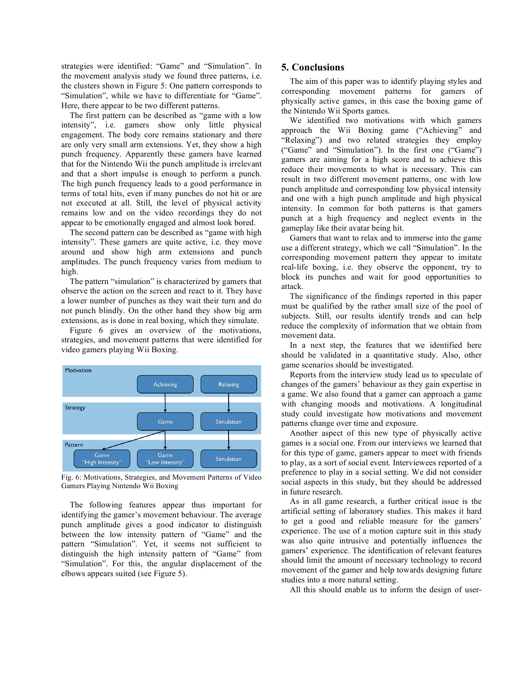strategies were identified: "Game" and "Simulation". In the movement analysis study we found three patterns, i.e. the clusters shown in Figure 5: One pattern corresponds to "Simulation", while we have to differentiate for "Game". Here, there appear to be two different patterns.

The first pattern can be described as "game with a low intensity", i.e. gamers show only little physical engagement. The body core remains stationary and there are only very small arm extensions. Yet, they show a high punch frequency. Apparently these gamers have learned that for the Nintendo Wii the punch amplitude is irrelevant and that a short impulse is enough to perform a punch. The high punch frequency leads to a good performance in terms of total hits, even if many punches do not hit or are not executed at all. Still, the level of physical activity remains low and on the video recordings they do not appear to be emotionally engaged and almost look bored.

The second pattern can be described as "game with high intensity". These gamers are quite active, i.e. they move around and show high arm extensions and punch amplitudes. The punch frequency varies from medium to high.

The pattern "simulation" is characterized by gamers that observe the action on the screen and react to it. They have a lower number of punches as they wait their turn and do not punch blindly. On the other hand they show big arm extensions, as is done in real boxing, which they simulate.

Figure 6 gives an overview of the motivations, strategies, and movement patterns that were identified for video gamers playing Wii Boxing.



Fig. 6: Motivations, Strategies, and Movement Patterns of Video Gamers Playing Nintendo Wii Boxing

The following features appear thus important for identifying the gamer's movement behaviour. The average punch amplitude gives a good indicator to distinguish between the low intensity pattern of "Game" and the pattern "Simulation". Yet, it seems not sufficient to distinguish the high intensity pattern of "Game" from "Simulation". For this, the angular displacement of the elbows appears suited (see Figure 5).

# **5. Conclusions**

The aim of this paper was to identify playing styles and corresponding movement patterns for gamers of physically active games, in this case the boxing game of the Nintendo Wii Sports games.

We identified two motivations with which gamers approach the Wii Boxing game ("Achieving" and "Relaxing") and two related strategies they employ ("Game" and "Simulation"). In the first one ("Game") gamers are aiming for a high score and to achieve this reduce their movements to what is necessary. This can result in two different movement patterns, one with low punch amplitude and corresponding low physical intensity and one with a high punch amplitude and high physical intensity. In common for both patterns is that gamers punch at a high frequency and neglect events in the gameplay like their avatar being hit.

Gamers that want to relax and to immerse into the game use a different strategy, which we call "Simulation". In the corresponding movement pattern they appear to imitate real-life boxing, i.e. they observe the opponent, try to block its punches and wait for good opportunities to attack.

The significance of the findings reported in this paper must be qualified by the rather small size of the pool of subjects. Still, our results identify trends and can help reduce the complexity of information that we obtain from movement data.

In a next step, the features that we identified here should be validated in a quantitative study. Also, other game scenarios should be investigated.

Reports from the interview study lead us to speculate of changes of the gamers' behaviour as they gain expertise in a game. We also found that a gamer can approach a game with changing moods and motivations. A longitudinal study could investigate how motivations and movement patterns change over time and exposure.

Another aspect of this new type of physically active games is a social one. From our interviews we learned that for this type of game, gamers appear to meet with friends to play, as a sort of social event. Interviewees reported of a preference to play in a social setting. We did not consider social aspects in this study, but they should be addressed in future research.

As in all game research, a further critical issue is the artificial setting of laboratory studies. This makes it hard to get a good and reliable measure for the gamers' experience. The use of a motion capture suit in this study was also quite intrusive and potentially influences the gamers' experience. The identification of relevant features should limit the amount of necessary technology to record movement of the gamer and help towards designing future studies into a more natural setting.

All this should enable us to inform the design of user-